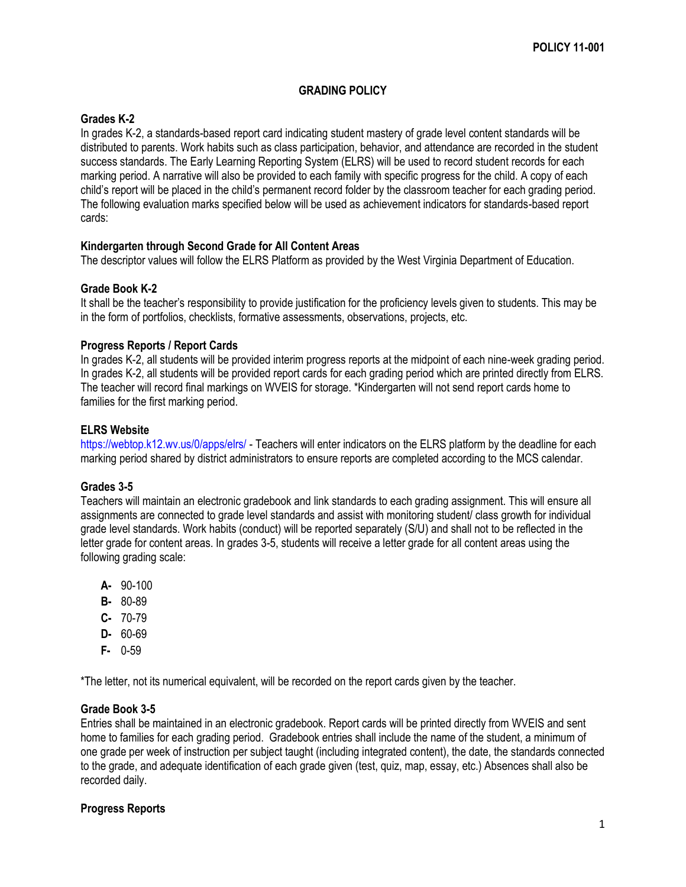## **GRADING POLICY**

# **Grades K-2**

In grades K-2, a standards-based report card indicating student mastery of grade level content standards will be distributed to parents. Work habits such as class participation, behavior, and attendance are recorded in the student success standards. The Early Learning Reporting System (ELRS) will be used to record student records for each marking period. A narrative will also be provided to each family with specific progress for the child. A copy of each child's report will be placed in the child's permanent record folder by the classroom teacher for each grading period. The following evaluation marks specified below will be used as achievement indicators for standards-based report cards:

# **Kindergarten through Second Grade for All Content Areas**

The descriptor values will follow the ELRS Platform as provided by the West Virginia Department of Education.

# **Grade Book K-2**

It shall be the teacher's responsibility to provide justification for the proficiency levels given to students. This may be in the form of portfolios, checklists, formative assessments, observations, projects, etc.

### **Progress Reports / Report Cards**

In grades K-2, all students will be provided interim progress reports at the midpoint of each nine-week grading period. In grades K-2, all students will be provided report cards for each grading period which are printed directly from ELRS. The teacher will record final markings on WVEIS for storage. \*Kindergarten will not send report cards home to families for the first marking period.

#### **ELRS Website**

<https://webtop.k12.wv.us/0/apps/elrs/> - Teachers will enter indicators on the ELRS platform by the deadline for each marking period shared by district administrators to ensure reports are completed according to the MCS calendar.

### **Grades 3-5**

Teachers will maintain an electronic gradebook and link standards to each grading assignment. This will ensure all assignments are connected to grade level standards and assist with monitoring student/ class growth for individual grade level standards. Work habits (conduct) will be reported separately (S/U) and shall not to be reflected in the letter grade for content areas. In grades 3-5, students will receive a letter grade for all content areas using the following grading scale:

- **A-** 90-100
- **B-** 80-89
- **C-** 70-79
- **D-** 60-69
- **F-** 0-59

\*The letter, not its numerical equivalent, will be recorded on the report cards given by the teacher.

#### **Grade Book 3-5**

Entries shall be maintained in an electronic gradebook. Report cards will be printed directly from WVEIS and sent home to families for each grading period. Gradebook entries shall include the name of the student, a minimum of one grade per week of instruction per subject taught (including integrated content), the date, the standards connected to the grade, and adequate identification of each grade given (test, quiz, map, essay, etc.) Absences shall also be recorded daily.

# **Progress Reports**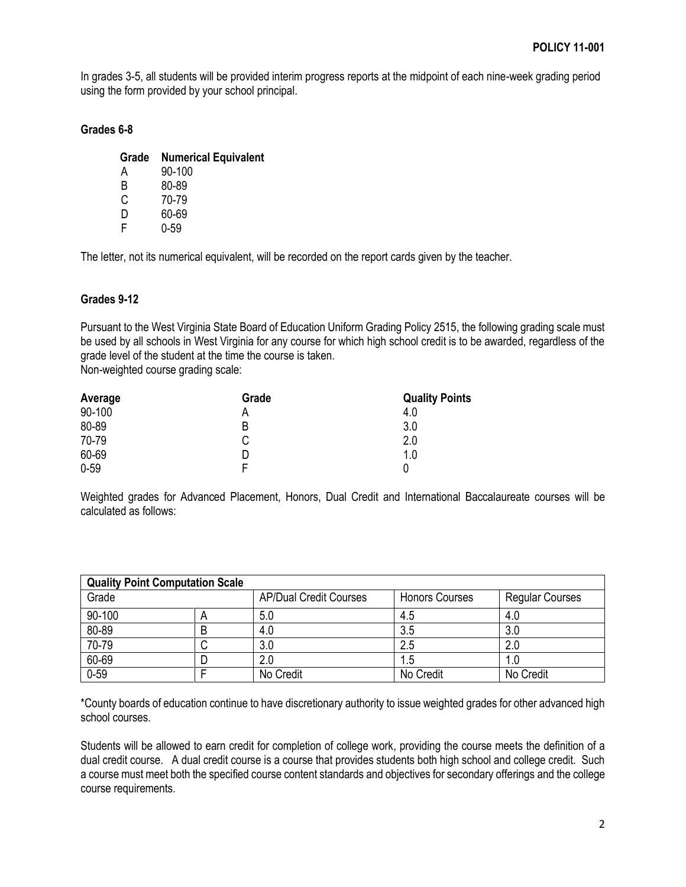In grades 3-5, all students will be provided interim progress reports at the midpoint of each nine-week grading period using the form provided by your school principal.

## **Grades 6-8**

| Grade | <b>Numerical Equivalent</b> |
|-------|-----------------------------|
| А     | 90-100                      |
| R     | 80-89                       |
| C.    | 70-79                       |
| D     | 60-69                       |
|       | 0-59                        |

The letter, not its numerical equivalent, will be recorded on the report cards given by the teacher.

### **Grades 9-12**

Pursuant to the West Virginia State Board of Education Uniform Grading Policy 2515, the following grading scale must be used by all schools in West Virginia for any course for which high school credit is to be awarded, regardless of the grade level of the student at the time the course is taken.

Non-weighted course grading scale:

| Average  | Grade | <b>Quality Points</b> |
|----------|-------|-----------------------|
| 90-100   |       | 4.0                   |
| 80-89    | B     | 3.0                   |
| 70-79    | С     | 2.0                   |
| 60-69    |       | 1.0                   |
| $0 - 59$ |       |                       |

Weighted grades for Advanced Placement, Honors, Dual Credit and International Baccalaureate courses will be calculated as follows:

| <b>Quality Point Computation Scale</b> |   |                               |                       |                        |  |  |
|----------------------------------------|---|-------------------------------|-----------------------|------------------------|--|--|
| Grade                                  |   | <b>AP/Dual Credit Courses</b> | <b>Honors Courses</b> | <b>Regular Courses</b> |  |  |
| 90-100                                 |   | 5.0                           | 4.5                   | 4.0                    |  |  |
| 80-89                                  | B | 4.0                           | 3.5                   | 3.0                    |  |  |
| 70-79                                  |   | 3.0                           | 2.5                   | 2.0                    |  |  |
| 60-69                                  |   | 2.0                           | 1.5                   |                        |  |  |
| $0 - 59$                               |   | No Credit                     | No Credit             | No Credit              |  |  |

\*County boards of education continue to have discretionary authority to issue weighted grades for other advanced high school courses.

Students will be allowed to earn credit for completion of college work, providing the course meets the definition of a dual credit course. A dual credit course is a course that provides students both high school and college credit. Such a course must meet both the specified course content standards and objectives for secondary offerings and the college course requirements.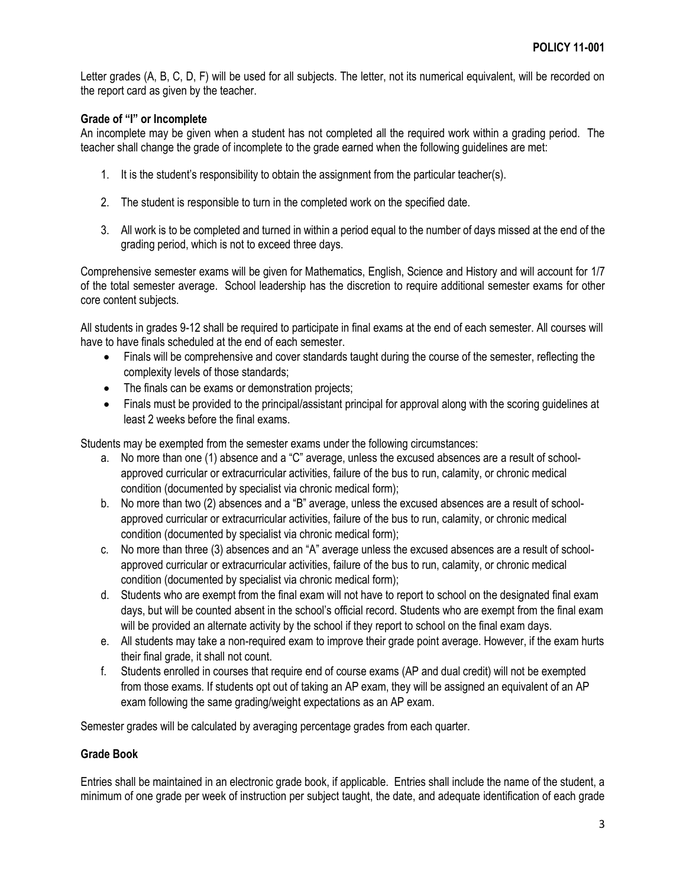Letter grades (A, B, C, D, F) will be used for all subjects. The letter, not its numerical equivalent, will be recorded on the report card as given by the teacher.

### **Grade of "I" or Incomplete**

An incomplete may be given when a student has not completed all the required work within a grading period. The teacher shall change the grade of incomplete to the grade earned when the following guidelines are met:

- 1. It is the student's responsibility to obtain the assignment from the particular teacher(s).
- 2. The student is responsible to turn in the completed work on the specified date.
- 3. All work is to be completed and turned in within a period equal to the number of days missed at the end of the grading period, which is not to exceed three days.

Comprehensive semester exams will be given for Mathematics, English, Science and History and will account for 1/7 of the total semester average. School leadership has the discretion to require additional semester exams for other core content subjects.

All students in grades 9-12 shall be required to participate in final exams at the end of each semester. All courses will have to have finals scheduled at the end of each semester.

- Finals will be comprehensive and cover standards taught during the course of the semester, reflecting the complexity levels of those standards;
- The finals can be exams or demonstration projects;
- Finals must be provided to the principal/assistant principal for approval along with the scoring guidelines at least 2 weeks before the final exams.

Students may be exempted from the semester exams under the following circumstances:

- a. No more than one (1) absence and a "C" average, unless the excused absences are a result of schoolapproved curricular or extracurricular activities, failure of the bus to run, calamity, or chronic medical condition (documented by specialist via chronic medical form);
- b. No more than two (2) absences and a "B" average, unless the excused absences are a result of schoolapproved curricular or extracurricular activities, failure of the bus to run, calamity, or chronic medical condition (documented by specialist via chronic medical form);
- c. No more than three (3) absences and an "A" average unless the excused absences are a result of schoolapproved curricular or extracurricular activities, failure of the bus to run, calamity, or chronic medical condition (documented by specialist via chronic medical form);
- d. Students who are exempt from the final exam will not have to report to school on the designated final exam days, but will be counted absent in the school's official record. Students who are exempt from the final exam will be provided an alternate activity by the school if they report to school on the final exam days.
- e. All students may take a non-required exam to improve their grade point average. However, if the exam hurts their final grade, it shall not count.
- f. Students enrolled in courses that require end of course exams (AP and dual credit) will not be exempted from those exams. If students opt out of taking an AP exam, they will be assigned an equivalent of an AP exam following the same grading/weight expectations as an AP exam.

Semester grades will be calculated by averaging percentage grades from each quarter.

#### **Grade Book**

Entries shall be maintained in an electronic grade book, if applicable. Entries shall include the name of the student, a minimum of one grade per week of instruction per subject taught, the date, and adequate identification of each grade